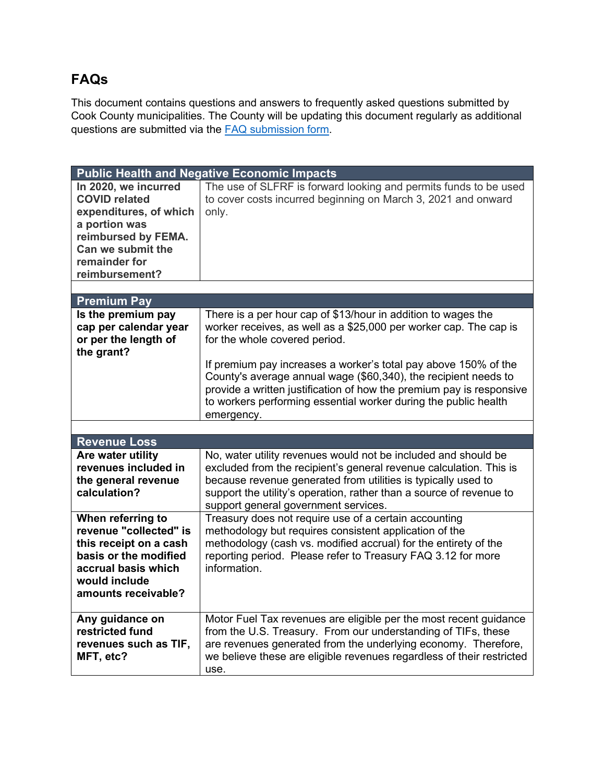## **FAQs**

This document contains questions and answers to frequently asked questions submitted by Cook County municipalities. The County will be updating this document regularly as additional questions are submitted via the [FAQ submission form.](https://forms.office.com/r/3wK94kCCfi)

| <b>Public Health and Negative Economic Impacts</b>                                                                                                                     |                                                                                                                                                                                                                                                                                                                      |
|------------------------------------------------------------------------------------------------------------------------------------------------------------------------|----------------------------------------------------------------------------------------------------------------------------------------------------------------------------------------------------------------------------------------------------------------------------------------------------------------------|
| In 2020, we incurred<br><b>COVID related</b><br>expenditures, of which<br>a portion was<br>reimbursed by FEMA.<br>Can we submit the<br>remainder for<br>reimbursement? | The use of SLFRF is forward looking and permits funds to be used<br>to cover costs incurred beginning on March 3, 2021 and onward<br>only.                                                                                                                                                                           |
|                                                                                                                                                                        |                                                                                                                                                                                                                                                                                                                      |
| <b>Premium Pay</b>                                                                                                                                                     |                                                                                                                                                                                                                                                                                                                      |
| Is the premium pay<br>cap per calendar year<br>or per the length of<br>the grant?                                                                                      | There is a per hour cap of \$13/hour in addition to wages the<br>worker receives, as well as a \$25,000 per worker cap. The cap is<br>for the whole covered period.                                                                                                                                                  |
|                                                                                                                                                                        | If premium pay increases a worker's total pay above 150% of the<br>County's average annual wage (\$60,340), the recipient needs to<br>provide a written justification of how the premium pay is responsive<br>to workers performing essential worker during the public health<br>emergency.                          |
|                                                                                                                                                                        |                                                                                                                                                                                                                                                                                                                      |
| <b>Revenue Loss</b>                                                                                                                                                    |                                                                                                                                                                                                                                                                                                                      |
| Are water utility<br>revenues included in<br>the general revenue<br>calculation?                                                                                       | No, water utility revenues would not be included and should be<br>excluded from the recipient's general revenue calculation. This is<br>because revenue generated from utilities is typically used to<br>support the utility's operation, rather than a source of revenue to<br>support general government services. |
| When referring to<br>revenue "collected" is<br>this receipt on a cash<br>basis or the modified<br>accrual basis which<br>would include<br>amounts receivable?          | Treasury does not require use of a certain accounting<br>methodology but requires consistent application of the<br>methodology (cash vs. modified accrual) for the entirety of the<br>reporting period. Please refer to Treasury FAQ 3.12 for more<br>information.                                                   |
| Any guidance on<br>restricted fund<br>revenues such as TIF,<br>MFT, etc?                                                                                               | Motor Fuel Tax revenues are eligible per the most recent guidance<br>from the U.S. Treasury. From our understanding of TIFs, these<br>are revenues generated from the underlying economy. Therefore,<br>we believe these are eligible revenues regardless of their restricted<br>use.                                |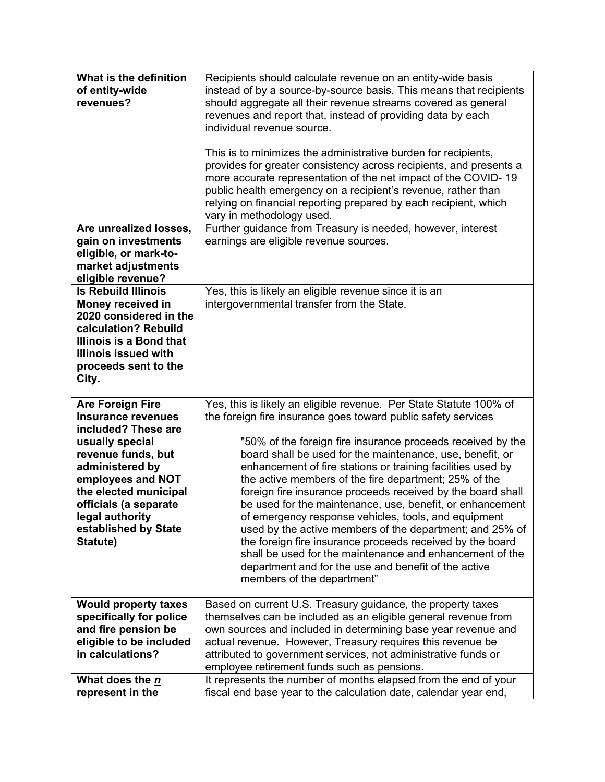| What is the definition      | Recipients should calculate revenue on an entity-wide basis        |
|-----------------------------|--------------------------------------------------------------------|
| of entity-wide              | instead of by a source-by-source basis. This means that recipients |
| revenues?                   | should aggregate all their revenue streams covered as general      |
|                             | revenues and report that, instead of providing data by each        |
|                             | individual revenue source.                                         |
|                             |                                                                    |
|                             | This is to minimizes the administrative burden for recipients,     |
|                             | provides for greater consistency across recipients, and presents a |
|                             | more accurate representation of the net impact of the COVID-19     |
|                             | public health emergency on a recipient's revenue, rather than      |
|                             | relying on financial reporting prepared by each recipient, which   |
|                             | vary in methodology used.                                          |
| Are unrealized losses,      | Further guidance from Treasury is needed, however, interest        |
| gain on investments         | earnings are eligible revenue sources.                             |
| eligible, or mark-to-       |                                                                    |
| market adjustments          |                                                                    |
| eligible revenue?           |                                                                    |
| <b>Is Rebuild Illinois</b>  | Yes, this is likely an eligible revenue since it is an             |
| Money received in           | intergovernmental transfer from the State.                         |
| 2020 considered in the      |                                                                    |
| calculation? Rebuild        |                                                                    |
| Illinois is a Bond that     |                                                                    |
| <b>Illinois issued with</b> |                                                                    |
| proceeds sent to the        |                                                                    |
| City.                       |                                                                    |
|                             |                                                                    |
| <b>Are Foreign Fire</b>     | Yes, this is likely an eligible revenue. Per State Statute 100% of |
| <b>Insurance revenues</b>   | the foreign fire insurance goes toward public safety services      |
| included? These are         |                                                                    |
| usually special             | "50% of the foreign fire insurance proceeds received by the        |
| revenue funds, but          | board shall be used for the maintenance, use, benefit, or          |
| administered by             | enhancement of fire stations or training facilities used by        |
| employees and NOT           | the active members of the fire department; 25% of the              |
| the elected municipal       | foreign fire insurance proceeds received by the board shall        |
| officials (a separate       | be used for the maintenance, use, benefit, or enhancement          |
| legal authority             | of emergency response vehicles, tools, and equipment               |
| established by State        | used by the active members of the department; and 25% of           |
| Statute)                    | the foreign fire insurance proceeds received by the board          |
|                             | shall be used for the maintenance and enhancement of the           |
|                             | department and for the use and benefit of the active               |
|                             | members of the department"                                         |
|                             |                                                                    |
| <b>Would property taxes</b> | Based on current U.S. Treasury guidance, the property taxes        |
| specifically for police     | themselves can be included as an eligible general revenue from     |
| and fire pension be         | own sources and included in determining base year revenue and      |
| eligible to be included     | actual revenue. However, Treasury requires this revenue be         |
| in calculations?            | attributed to government services, not administrative funds or     |
|                             | employee retirement funds such as pensions.                        |
| What does the n             | It represents the number of months elapsed from the end of your    |
| represent in the            | fiscal end base year to the calculation date, calendar year end,   |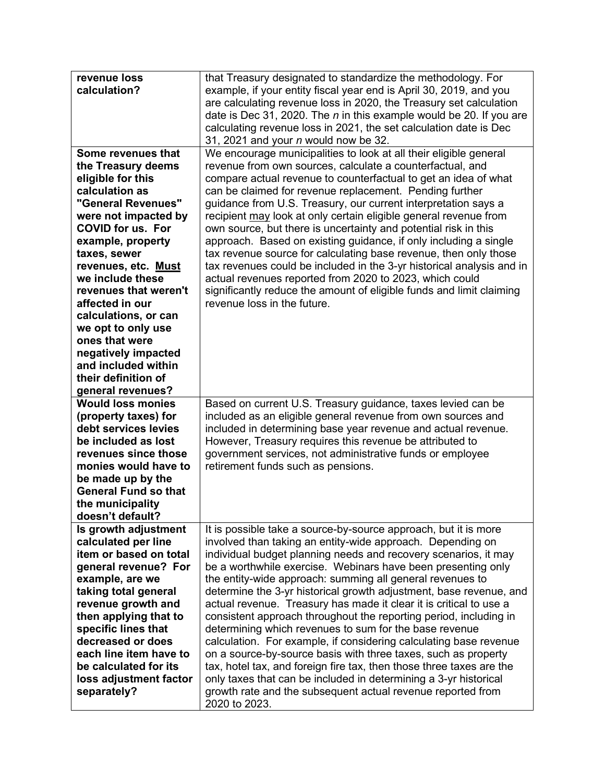| revenue loss<br>calculation?                                                                                                                                                                                                                                                                                                                                                                                                                                                                                                                                                                                                                           | that Treasury designated to standardize the methodology. For<br>example, if your entity fiscal year end is April 30, 2019, and you<br>are calculating revenue loss in 2020, the Treasury set calculation<br>date is Dec 31, 2020. The $n$ in this example would be 20. If you are<br>calculating revenue loss in 2021, the set calculation date is Dec<br>31, 2021 and your <i>n</i> would now be 32.                                                                                                                                                                                                                                                                                                                                                                                                                                                                                                                                                                                                                                                                                                                                                                                                                    |
|--------------------------------------------------------------------------------------------------------------------------------------------------------------------------------------------------------------------------------------------------------------------------------------------------------------------------------------------------------------------------------------------------------------------------------------------------------------------------------------------------------------------------------------------------------------------------------------------------------------------------------------------------------|--------------------------------------------------------------------------------------------------------------------------------------------------------------------------------------------------------------------------------------------------------------------------------------------------------------------------------------------------------------------------------------------------------------------------------------------------------------------------------------------------------------------------------------------------------------------------------------------------------------------------------------------------------------------------------------------------------------------------------------------------------------------------------------------------------------------------------------------------------------------------------------------------------------------------------------------------------------------------------------------------------------------------------------------------------------------------------------------------------------------------------------------------------------------------------------------------------------------------|
| Some revenues that<br>the Treasury deems<br>eligible for this<br>calculation as<br>"General Revenues"<br>were not impacted by<br><b>COVID for us. For</b><br>example, property<br>taxes, sewer<br>revenues, etc. Must<br>we include these<br>revenues that weren't<br>affected in our<br>calculations, or can<br>we opt to only use<br>ones that were<br>negatively impacted<br>and included within<br>their definition of<br>general revenues?<br><b>Would loss monies</b><br>(property taxes) for<br>debt services levies<br>be included as lost<br>revenues since those<br>monies would have to<br>be made up by the<br><b>General Fund so that</b> | We encourage municipalities to look at all their eligible general<br>revenue from own sources, calculate a counterfactual, and<br>compare actual revenue to counterfactual to get an idea of what<br>can be claimed for revenue replacement. Pending further<br>guidance from U.S. Treasury, our current interpretation says a<br>recipient may look at only certain eligible general revenue from<br>own source, but there is uncertainty and potential risk in this<br>approach. Based on existing guidance, if only including a single<br>tax revenue source for calculating base revenue, then only those<br>tax revenues could be included in the 3-yr historical analysis and in<br>actual revenues reported from 2020 to 2023, which could<br>significantly reduce the amount of eligible funds and limit claiming<br>revenue loss in the future.<br>Based on current U.S. Treasury guidance, taxes levied can be<br>included as an eligible general revenue from own sources and<br>included in determining base year revenue and actual revenue.<br>However, Treasury requires this revenue be attributed to<br>government services, not administrative funds or employee<br>retirement funds such as pensions. |
| the municipality<br>doesn't default?                                                                                                                                                                                                                                                                                                                                                                                                                                                                                                                                                                                                                   |                                                                                                                                                                                                                                                                                                                                                                                                                                                                                                                                                                                                                                                                                                                                                                                                                                                                                                                                                                                                                                                                                                                                                                                                                          |
| Is growth adjustment<br>calculated per line<br>item or based on total<br>general revenue? For<br>example, are we<br>taking total general<br>revenue growth and<br>then applying that to<br>specific lines that<br>decreased or does<br>each line item have to<br>be calculated for its<br>loss adjustment factor<br>separately?                                                                                                                                                                                                                                                                                                                        | It is possible take a source-by-source approach, but it is more<br>involved than taking an entity-wide approach. Depending on<br>individual budget planning needs and recovery scenarios, it may<br>be a worthwhile exercise. Webinars have been presenting only<br>the entity-wide approach: summing all general revenues to<br>determine the 3-yr historical growth adjustment, base revenue, and<br>actual revenue. Treasury has made it clear it is critical to use a<br>consistent approach throughout the reporting period, including in<br>determining which revenues to sum for the base revenue<br>calculation. For example, if considering calculating base revenue<br>on a source-by-source basis with three taxes, such as property<br>tax, hotel tax, and foreign fire tax, then those three taxes are the<br>only taxes that can be included in determining a 3-yr historical<br>growth rate and the subsequent actual revenue reported from<br>2020 to 2023.                                                                                                                                                                                                                                              |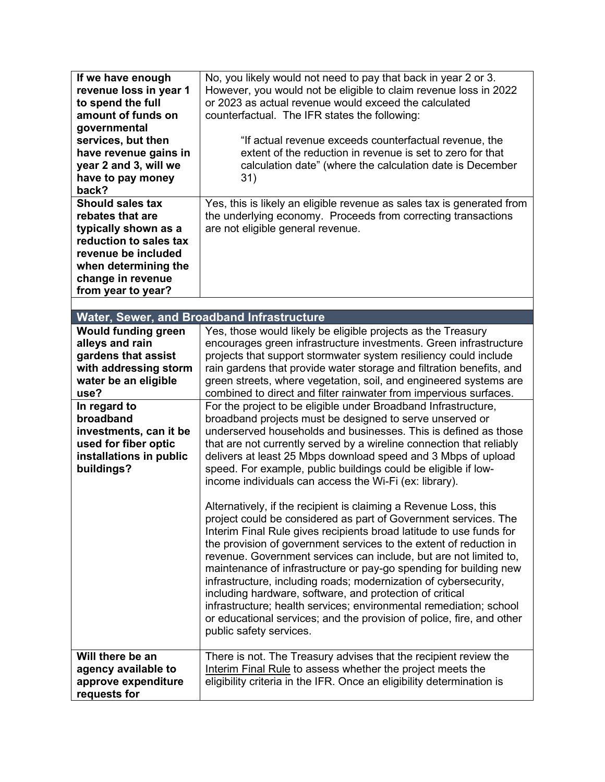| If we have enough<br>revenue loss in year 1<br>to spend the full<br>amount of funds on<br>governmental<br>services, but then<br>have revenue gains in<br>year 2 and 3, will we<br>have to pay money<br>back?<br><b>Should sales tax</b><br>rebates that are<br>typically shown as a<br>reduction to sales tax<br>revenue be included<br>when determining the<br>change in revenue<br>from year to year? | No, you likely would not need to pay that back in year 2 or 3.<br>However, you would not be eligible to claim revenue loss in 2022<br>or 2023 as actual revenue would exceed the calculated<br>counterfactual. The IFR states the following:<br>"If actual revenue exceeds counterfactual revenue, the<br>extent of the reduction in revenue is set to zero for that<br>calculation date" (where the calculation date is December<br>31)<br>Yes, this is likely an eligible revenue as sales tax is generated from<br>the underlying economy. Proceeds from correcting transactions<br>are not eligible general revenue.                                                                                                                                                                                                                                                                                                                                                                                                                                                                                                                                                                                                                                                                                                                                                                                                                                                                                                                                                                                                              |
|---------------------------------------------------------------------------------------------------------------------------------------------------------------------------------------------------------------------------------------------------------------------------------------------------------------------------------------------------------------------------------------------------------|---------------------------------------------------------------------------------------------------------------------------------------------------------------------------------------------------------------------------------------------------------------------------------------------------------------------------------------------------------------------------------------------------------------------------------------------------------------------------------------------------------------------------------------------------------------------------------------------------------------------------------------------------------------------------------------------------------------------------------------------------------------------------------------------------------------------------------------------------------------------------------------------------------------------------------------------------------------------------------------------------------------------------------------------------------------------------------------------------------------------------------------------------------------------------------------------------------------------------------------------------------------------------------------------------------------------------------------------------------------------------------------------------------------------------------------------------------------------------------------------------------------------------------------------------------------------------------------------------------------------------------------|
|                                                                                                                                                                                                                                                                                                                                                                                                         |                                                                                                                                                                                                                                                                                                                                                                                                                                                                                                                                                                                                                                                                                                                                                                                                                                                                                                                                                                                                                                                                                                                                                                                                                                                                                                                                                                                                                                                                                                                                                                                                                                       |
|                                                                                                                                                                                                                                                                                                                                                                                                         | <b>Water, Sewer, and Broadband Infrastructure</b>                                                                                                                                                                                                                                                                                                                                                                                                                                                                                                                                                                                                                                                                                                                                                                                                                                                                                                                                                                                                                                                                                                                                                                                                                                                                                                                                                                                                                                                                                                                                                                                     |
| <b>Would funding green</b><br>alleys and rain<br>gardens that assist<br>with addressing storm<br>water be an eligible<br>use?<br>In regard to<br>broadband<br>investments, can it be<br>used for fiber optic<br>installations in public<br>buildings?                                                                                                                                                   | Yes, those would likely be eligible projects as the Treasury<br>encourages green infrastructure investments. Green infrastructure<br>projects that support stormwater system resiliency could include<br>rain gardens that provide water storage and filtration benefits, and<br>green streets, where vegetation, soil, and engineered systems are<br>combined to direct and filter rainwater from impervious surfaces.<br>For the project to be eligible under Broadband Infrastructure,<br>broadband projects must be designed to serve unserved or<br>underserved households and businesses. This is defined as those<br>that are not currently served by a wireline connection that reliably<br>delivers at least 25 Mbps download speed and 3 Mbps of upload<br>speed. For example, public buildings could be eligible if low-<br>income individuals can access the Wi-Fi (ex: library).<br>Alternatively, if the recipient is claiming a Revenue Loss, this<br>project could be considered as part of Government services. The<br>Interim Final Rule gives recipients broad latitude to use funds for<br>the provision of government services to the extent of reduction in<br>revenue. Government services can include, but are not limited to,<br>maintenance of infrastructure or pay-go spending for building new<br>infrastructure, including roads; modernization of cybersecurity,<br>including hardware, software, and protection of critical<br>infrastructure; health services; environmental remediation; school<br>or educational services; and the provision of police, fire, and other<br>public safety services. |
| Will there be an<br>agency available to<br>approve expenditure<br>requests for                                                                                                                                                                                                                                                                                                                          | There is not. The Treasury advises that the recipient review the<br>Interim Final Rule to assess whether the project meets the<br>eligibility criteria in the IFR. Once an eligibility determination is                                                                                                                                                                                                                                                                                                                                                                                                                                                                                                                                                                                                                                                                                                                                                                                                                                                                                                                                                                                                                                                                                                                                                                                                                                                                                                                                                                                                                               |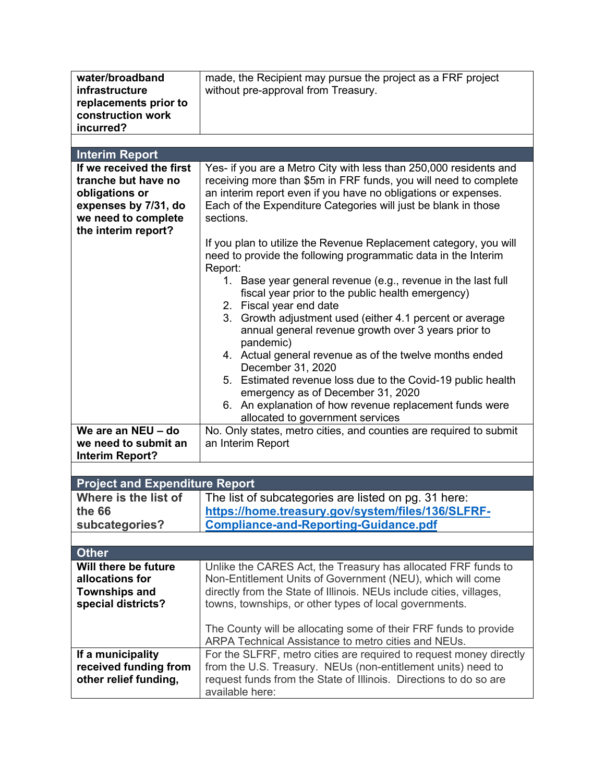| water/broadband<br>infrastructure<br>replacements prior to<br>construction work<br>incurred? | made, the Recipient may pursue the project as a FRF project<br>without pre-approval from Treasury.                |
|----------------------------------------------------------------------------------------------|-------------------------------------------------------------------------------------------------------------------|
| <b>Interim Report</b>                                                                        |                                                                                                                   |
| If we received the first                                                                     | Yes- if you are a Metro City with less than 250,000 residents and                                                 |
| tranche but have no                                                                          | receiving more than \$5m in FRF funds, you will need to complete                                                  |
| obligations or                                                                               | an interim report even if you have no obligations or expenses.                                                    |
| expenses by 7/31, do<br>we need to complete                                                  | Each of the Expenditure Categories will just be blank in those<br>sections.                                       |
| the interim report?                                                                          |                                                                                                                   |
|                                                                                              | If you plan to utilize the Revenue Replacement category, you will                                                 |
|                                                                                              | need to provide the following programmatic data in the Interim                                                    |
|                                                                                              | Report:                                                                                                           |
|                                                                                              | 1. Base year general revenue (e.g., revenue in the last full<br>fiscal year prior to the public health emergency) |
|                                                                                              | 2. Fiscal year end date                                                                                           |
|                                                                                              | 3. Growth adjustment used (either 4.1 percent or average                                                          |
|                                                                                              | annual general revenue growth over 3 years prior to                                                               |
|                                                                                              | pandemic)                                                                                                         |
|                                                                                              | 4. Actual general revenue as of the twelve months ended<br>December 31, 2020                                      |
|                                                                                              | 5. Estimated revenue loss due to the Covid-19 public health                                                       |
|                                                                                              | emergency as of December 31, 2020                                                                                 |
|                                                                                              | 6. An explanation of how revenue replacement funds were                                                           |
| We are an NEU - do                                                                           | allocated to government services<br>No. Only states, metro cities, and counties are required to submit            |
| we need to submit an                                                                         | an Interim Report                                                                                                 |
| <b>Interim Report?</b>                                                                       |                                                                                                                   |
|                                                                                              |                                                                                                                   |
| <b>Project and Expenditure Report</b>                                                        |                                                                                                                   |
| Where is the list of                                                                         | The list of subcategories are listed on pg. 31 here:                                                              |
| the 66                                                                                       | https://home.treasury.gov/system/files/136/SLFRF-                                                                 |
| subcategories?                                                                               | <b>Compliance-and-Reporting-Guidance.pdf</b>                                                                      |
| <b>Other</b>                                                                                 |                                                                                                                   |
| Will there be future                                                                         | Unlike the CARES Act, the Treasury has allocated FRF funds to                                                     |
| allocations for                                                                              | Non-Entitlement Units of Government (NEU), which will come                                                        |
| <b>Townships and</b>                                                                         | directly from the State of Illinois. NEUs include cities, villages,                                               |
| special districts?                                                                           | towns, townships, or other types of local governments.                                                            |
|                                                                                              | The County will be allocating some of their FRF funds to provide                                                  |
|                                                                                              | ARPA Technical Assistance to metro cities and NEUs.                                                               |
| If a municipality                                                                            | For the SLFRF, metro cities are required to request money directly                                                |
| received funding from                                                                        | from the U.S. Treasury. NEUs (non-entitlement units) need to                                                      |
| other relief funding,                                                                        | request funds from the State of Illinois. Directions to do so are                                                 |
|                                                                                              | available here:                                                                                                   |